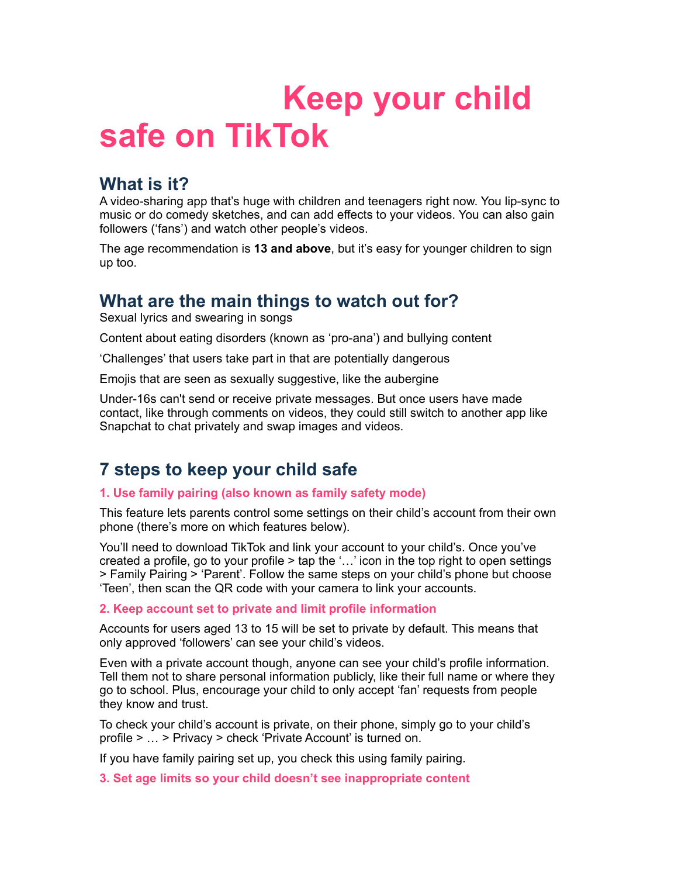# **Keep your child safe on TikTok**

## **What is it?**

A video-sharing app that's huge with children and teenagers right now. You lip-sync to music or do comedy sketches, and can add effects to your videos. You can also gain followers ('fans') and watch other people's videos.

The age recommendation is **13 and above**, but it's easy for younger children to sign up too.

## **What are the main things to watch out for?**

Sexual lyrics and swearing in songs

Content about eating disorders (known as 'pro-ana') and bullying content

'Challenges' that users take part in that are potentially dangerous

Emojis that are seen as sexually suggestive, like the aubergine

Under-16s can't send or receive private messages. But once users have made contact, like through comments on videos, they could still switch to another app like Snapchat to chat privately and swap images and videos.

# **7 steps to keep your child safe**

## **1. Use family pairing (also known as family safety mode)**

This feature lets parents control some settings on their child's account from their own phone (there's more on which features below).

You'll need to download TikTok and link your account to your child's. Once you've created a profile, go to your profile > tap the '…' icon in the top right to open settings > Family Pairing > 'Parent'. Follow the same steps on your child's phone but choose 'Teen', then scan the QR code with your camera to link your accounts.

### **2. Keep account set to private and limit profile information**

Accounts for users aged 13 to 15 will be set to private by default. This means that only approved 'followers' can see your child's videos.

Even with a private account though, anyone can see your child's profile information. Tell them not to share personal information publicly, like their full name or where they go to school. Plus, encourage your child to only accept 'fan' requests from people they know and trust.

To check your child's account is private, on their phone, simply go to your child's profile > … > Privacy > check 'Private Account' is turned on.

If you have family pairing set up, you check this using family pairing.

**3. Set age limits so your child doesn't see inappropriate content**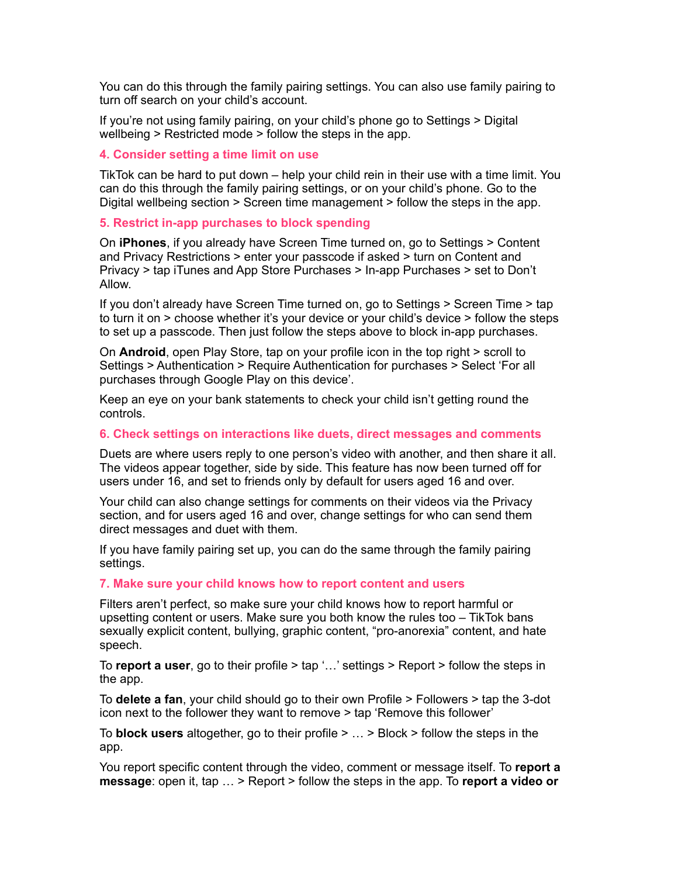You can do this through the family pairing settings. You can also use family pairing to turn off search on your child's account.

If you're not using family pairing, on your child's phone go to Settings > Digital wellbeing > Restricted mode > follow the steps in the app.

#### **4. Consider setting a time limit on use**

TikTok can be hard to put down – help your child rein in their use with a time limit. You can do this through the family pairing settings, or on your child's phone. Go to the Digital wellbeing section > Screen time management > follow the steps in the app.

#### **5. Restrict in-app purchases to block spending**

On **iPhones**, if you already have Screen Time turned on, go to Settings > Content and Privacy Restrictions > enter your passcode if asked > turn on Content and Privacy > tap iTunes and App Store Purchases > In-app Purchases > set to Don't Allow.

If you don't already have Screen Time turned on, go to Settings > Screen Time > tap to turn it on > choose whether it's your device or your child's device > follow the steps to set up a passcode. Then just follow the steps above to block in-app purchases.

On **Android**, open Play Store, tap on your profile icon in the top right > scroll to Settings > Authentication > Require Authentication for purchases > Select 'For all purchases through Google Play on this device'.

Keep an eye on your bank statements to check your child isn't getting round the controls.

#### **6. Check settings on interactions like duets, direct messages and comments**

Duets are where users reply to one person's video with another, and then share it all. The videos appear together, side by side. This feature has now been turned off for users under 16, and set to friends only by default for users aged 16 and over.

Your child can also change settings for comments on their videos via the Privacy section, and for users aged 16 and over, change settings for who can send them direct messages and duet with them.

If you have family pairing set up, you can do the same through the family pairing settings.

#### **7. Make sure your child knows how to report content and users**

Filters aren't perfect, so make sure your child knows how to report harmful or upsetting content or users. Make sure you both know the rules too – TikTok bans sexually explicit content, bullying, graphic content, "pro-anorexia" content, and hate speech.

To **report a user**, go to their profile > tap '…' settings > Report > follow the steps in the app.

To **delete a fan**, your child should go to their own Profile > Followers > tap the 3-dot icon next to the follower they want to remove > tap 'Remove this follower'

To **block users** altogether, go to their profile > … > Block > follow the steps in the app.

You report specific content through the video, comment or message itself. To **report a message**: open it, tap … > Report > follow the steps in the app. To **report a video or**